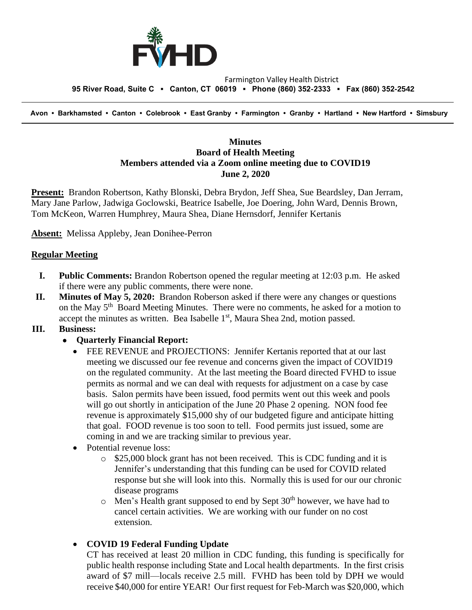

#### Farmington Valley Health District  **95 River Road, Suite C ▪ Canton, CT 06019 ▪ Phone (860) 352-2333 ▪ Fax (860) 352-2542**

 **Avon • Barkhamsted • Canton • Colebrook • East Granby • Farmington • Granby • Hartland • New Hartford • Simsbury**

### **Minutes Board of Health Meeting Members attended via a Zoom online meeting due to COVID19 June 2, 2020**

**Present:** Brandon Robertson, Kathy Blonski, Debra Brydon, Jeff Shea, Sue Beardsley, Dan Jerram, Mary Jane Parlow, Jadwiga Goclowski, Beatrice Isabelle, Joe Doering, John Ward, Dennis Brown, Tom McKeon, Warren Humphrey, Maura Shea, Diane Hernsdorf, Jennifer Kertanis

**Absent:** Melissa Appleby, Jean Donihee-Perron

### **Regular Meeting**

- **I. Public Comments:** Brandon Robertson opened the regular meeting at 12:03 p.m. He asked if there were any public comments, there were none.
- **II. Minutes of May 5, 2020:** Brandon Roberson asked if there were any changes or questions on the May  $5<sup>th</sup>$  Board Meeting Minutes. There were no comments, he asked for a motion to accept the minutes as written. Bea Isabelle  $1<sup>st</sup>$ , Maura Shea 2nd, motion passed.

### **III. Business:**

# • **Quarterly Financial Report:**

- FEE REVENUE and PROJECTIONS: Jennifer Kertanis reported that at our last meeting we discussed our fee revenue and concerns given the impact of COVID19 on the regulated community. At the last meeting the Board directed FVHD to issue permits as normal and we can deal with requests for adjustment on a case by case basis. Salon permits have been issued, food permits went out this week and pools will go out shortly in anticipation of the June 20 Phase 2 opening. NON food fee revenue is approximately \$15,000 shy of our budgeted figure and anticipate hitting that goal. FOOD revenue is too soon to tell. Food permits just issued, some are coming in and we are tracking similar to previous year.
- Potential revenue loss:
	- o \$25,000 block grant has not been received. This is CDC funding and it is Jennifer's understanding that this funding can be used for COVID related response but she will look into this. Normally this is used for our our chronic disease programs
	- $\circ$  Men's Health grant supposed to end by Sept 30<sup>th</sup> however, we have had to cancel certain activities. We are working with our funder on no cost extension.

# • **COVID 19 Federal Funding Update**

CT has received at least 20 million in CDC funding, this funding is specifically for public health response including State and Local health departments. In the first crisis award of \$7 mill—locals receive 2.5 mill. FVHD has been told by DPH we would receive \$40,000 for entire YEAR! Our first request for Feb-March was \$20,000, which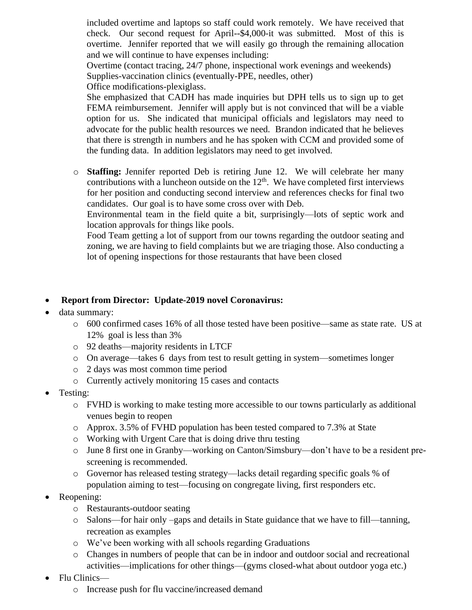included overtime and laptops so staff could work remotely. We have received that check. Our second request for April--\$4,000-it was submitted. Most of this is overtime. Jennifer reported that we will easily go through the remaining allocation and we will continue to have expenses including:

Overtime (contact tracing, 24/7 phone, inspectional work evenings and weekends) Supplies-vaccination clinics (eventually-PPE, needles, other)

Office modifications-plexiglass.

She emphasized that CADH has made inquiries but DPH tells us to sign up to get FEMA reimbursement. Jennifer will apply but is not convinced that will be a viable option for us. She indicated that municipal officials and legislators may need to advocate for the public health resources we need. Brandon indicated that he believes that there is strength in numbers and he has spoken with CCM and provided some of the funding data. In addition legislators may need to get involved.

o **Staffing:** Jennifer reported Deb is retiring June 12. We will celebrate her many contributions with a luncheon outside on the  $12<sup>th</sup>$ . We have completed first interviews for her position and conducting second interview and references checks for final two candidates. Our goal is to have some cross over with Deb.

Environmental team in the field quite a bit, surprisingly—lots of septic work and location approvals for things like pools.

Food Team getting a lot of support from our towns regarding the outdoor seating and zoning, we are having to field complaints but we are triaging those. Also conducting a lot of opening inspections for those restaurants that have been closed

# • **Report from Director: Update-2019 novel Coronavirus:**

- data summary:
	- o 600 confirmed cases 16% of all those tested have been positive—same as state rate. US at 12% goal is less than 3%
	- o 92 deaths—majority residents in LTCF
	- o On average—takes 6 days from test to result getting in system—sometimes longer
	- o 2 days was most common time period
	- o Currently actively monitoring 15 cases and contacts
- Testing:
	- o FVHD is working to make testing more accessible to our towns particularly as additional venues begin to reopen
	- o Approx. 3.5% of FVHD population has been tested compared to 7.3% at State
	- o Working with Urgent Care that is doing drive thru testing
	- o June 8 first one in Granby—working on Canton/Simsbury—don't have to be a resident prescreening is recommended.
	- o Governor has released testing strategy—lacks detail regarding specific goals % of population aiming to test—focusing on congregate living, first responders etc.
- Reopening:
	- o Restaurants-outdoor seating
	- o Salons—for hair only –gaps and details in State guidance that we have to fill—tanning, recreation as examples
	- o We've been working with all schools regarding Graduations
	- o Changes in numbers of people that can be in indoor and outdoor social and recreational activities—implications for other things—(gyms closed-what about outdoor yoga etc.)
- Flu Clinics
	- o Increase push for flu vaccine/increased demand